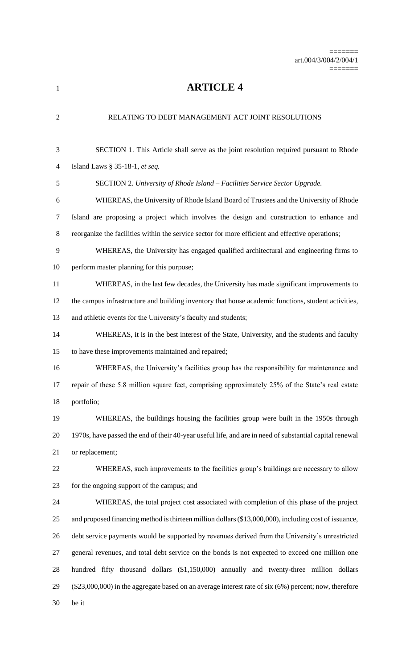=======

**ARTICLE 4**

| $\overline{2}$ | RELATING TO DEBT MANAGEMENT ACT JOINT RESOLUTIONS                                                         |
|----------------|-----------------------------------------------------------------------------------------------------------|
| $\mathfrak{Z}$ | SECTION 1. This Article shall serve as the joint resolution required pursuant to Rhode                    |
| $\overline{4}$ | Island Laws § 35-18-1, et seq.                                                                            |
| 5              | SECTION 2. University of Rhode Island - Facilities Service Sector Upgrade.                                |
| 6              | WHEREAS, the University of Rhode Island Board of Trustees and the University of Rhode                     |
| $\tau$         | Island are proposing a project which involves the design and construction to enhance and                  |
| $8\,$          | reorganize the facilities within the service sector for more efficient and effective operations;          |
| 9              | WHEREAS, the University has engaged qualified architectural and engineering firms to                      |
| 10             | perform master planning for this purpose;                                                                 |
| 11             | WHEREAS, in the last few decades, the University has made significant improvements to                     |
| 12             | the campus infrastructure and building inventory that house academic functions, student activities,       |
| 13             | and athletic events for the University's faculty and students;                                            |
| 14             | WHEREAS, it is in the best interest of the State, University, and the students and faculty                |
| 15             | to have these improvements maintained and repaired;                                                       |
| 16             | WHEREAS, the University's facilities group has the responsibility for maintenance and                     |
| 17             | repair of these 5.8 million square feet, comprising approximately 25% of the State's real estate          |
| 18             | portfolio;                                                                                                |
| 19             | WHEREAS, the buildings housing the facilities group were built in the 1950s through                       |
| 20             | 1970s, have passed the end of their 40-year useful life, and are in need of substantial capital renewal   |
| 21             | or replacement;                                                                                           |
| 22             | WHEREAS, such improvements to the facilities group's buildings are necessary to allow                     |
| 23             | for the ongoing support of the campus; and                                                                |
| 24             | WHEREAS, the total project cost associated with completion of this phase of the project                   |
| 25             | and proposed financing method is thirteen million dollars (\$13,000,000), including cost of issuance,     |
| 26             | debt service payments would be supported by revenues derived from the University's unrestricted           |
| 27             | general revenues, and total debt service on the bonds is not expected to exceed one million one           |
| 28             | hundred fifty thousand dollars (\$1,150,000) annually and twenty-three million dollars                    |
| 29             | $(\$23,000,000)$ in the aggregate based on an average interest rate of six $(6%)$ percent; now, therefore |
| 30             | be it                                                                                                     |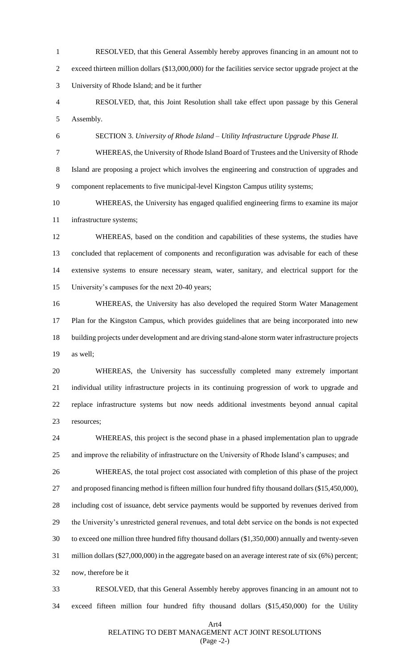RESOLVED, that this General Assembly hereby approves financing in an amount not to exceed thirteen million dollars (\$13,000,000) for the facilities service sector upgrade project at the University of Rhode Island; and be it further

 RESOLVED, that, this Joint Resolution shall take effect upon passage by this General Assembly.

SECTION 3. *University of Rhode Island – Utility Infrastructure Upgrade Phase II.* 

 WHEREAS, the University of Rhode Island Board of Trustees and the University of Rhode Island are proposing a project which involves the engineering and construction of upgrades and component replacements to five municipal-level Kingston Campus utility systems;

 WHEREAS, the University has engaged qualified engineering firms to examine its major infrastructure systems;

 WHEREAS, based on the condition and capabilities of these systems, the studies have concluded that replacement of components and reconfiguration was advisable for each of these extensive systems to ensure necessary steam, water, sanitary, and electrical support for the University's campuses for the next 20-40 years;

 WHEREAS, the University has also developed the required Storm Water Management Plan for the Kingston Campus, which provides guidelines that are being incorporated into new building projects under development and are driving stand-alone storm water infrastructure projects as well;

 WHEREAS, the University has successfully completed many extremely important individual utility infrastructure projects in its continuing progression of work to upgrade and replace infrastructure systems but now needs additional investments beyond annual capital resources;

 WHEREAS, this project is the second phase in a phased implementation plan to upgrade and improve the reliability of infrastructure on the University of Rhode Island's campuses; and

 WHEREAS, the total project cost associated with completion of this phase of the project and proposed financing method is fifteen million four hundred fifty thousand dollars (\$15,450,000), including cost of issuance, debt service payments would be supported by revenues derived from the University's unrestricted general revenues, and total debt service on the bonds is not expected to exceed one million three hundred fifty thousand dollars (\$1,350,000) annually and twenty-seven million dollars (\$27,000,000) in the aggregate based on an average interest rate of six (6%) percent; now, therefore be it

 RESOLVED, that this General Assembly hereby approves financing in an amount not to exceed fifteen million four hundred fifty thousand dollars (\$15,450,000) for the Utility

## Art4

## RELATING TO DEBT MANAGEMENT ACT JOINT RESOLUTIONS

(Page -2-)